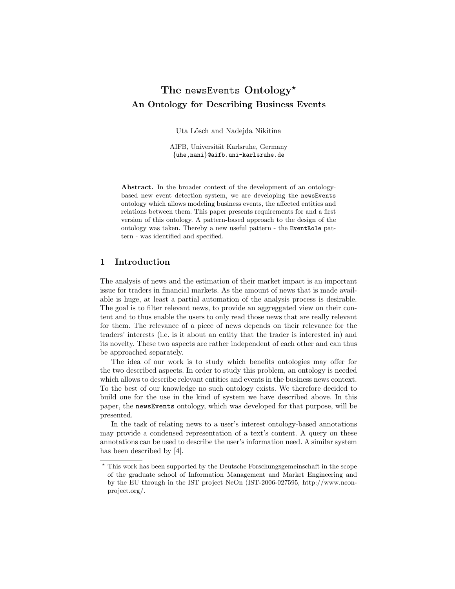# The newsEvents  $Ontology^{\star}$ An Ontology for Describing Business Events

Uta Lösch and Nadejda Nikitina

AIFB, Universität Karlsruhe, Germany {uhe,nani}@aifb.uni-karlsruhe.de

Abstract. In the broader context of the development of an ontologybased new event detection system, we are developing the newsEvents ontology which allows modeling business events, the affected entities and relations between them. This paper presents requirements for and a first version of this ontology. A pattern-based approach to the design of the ontology was taken. Thereby a new useful pattern - the EventRole pattern - was identified and specified.

## 1 Introduction

The analysis of news and the estimation of their market impact is an important issue for traders in financial markets. As the amount of news that is made available is huge, at least a partial automation of the analysis process is desirable. The goal is to filter relevant news, to provide an aggreggated view on their content and to thus enable the users to only read those news that are really relevant for them. The relevance of a piece of news depends on their relevance for the traders' interests (i.e. is it about an entity that the trader is interested in) and its novelty. These two aspects are rather independent of each other and can thus be approached separately.

The idea of our work is to study which benefits ontologies may offer for the two described aspects. In order to study this problem, an ontology is needed which allows to describe relevant entities and events in the business news context. To the best of our knowledge no such ontology exists. We therefore decided to build one for the use in the kind of system we have described above. In this paper, the newsEvents ontology, which was developed for that purpose, will be presented.

In the task of relating news to a user's interest ontology-based annotations may provide a condensed representation of a text's content. A query on these annotations can be used to describe the user's information need. A similar system has been described by [4].

 $^\star$  This work has been supported by the Deutsche Forschungsgemeinschaft in the scope of the graduate school of Information Management and Market Engineering and by the EU through in the IST project NeOn (IST-2006-027595, http://www.neonproject.org/.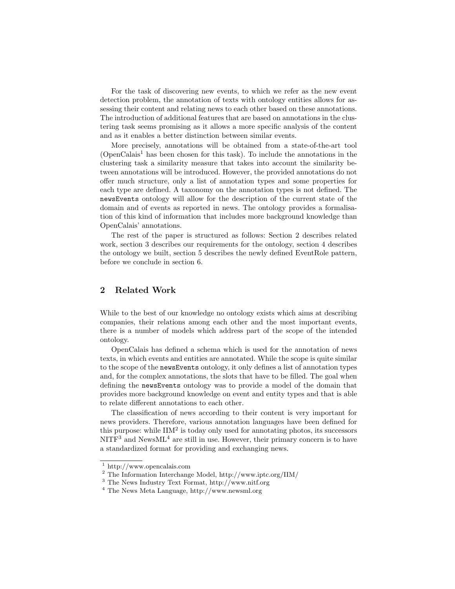For the task of discovering new events, to which we refer as the new event detection problem, the annotation of texts with ontology entities allows for assessing their content and relating news to each other based on these annotations. The introduction of additional features that are based on annotations in the clustering task seems promising as it allows a more specific analysis of the content and as it enables a better distinction between similar events.

More precisely, annotations will be obtained from a state-of-the-art tool  $(OpenCalais<sup>1</sup>$  has been chosen for this task). To include the annotations in the clustering task a similarity measure that takes into account the similarity between annotations will be introduced. However, the provided annotations do not offer much structure, only a list of annotation types and some properties for each type are defined. A taxonomy on the annotation types is not defined. The newsEvents ontology will allow for the description of the current state of the domain and of events as reported in news. The ontology provides a formalisation of this kind of information that includes more background knowledge than OpenCalais' annotations.

The rest of the paper is structured as follows: Section 2 describes related work, section 3 describes our requirements for the ontology, section 4 describes the ontology we built, section 5 describes the newly defined EventRole pattern, before we conclude in section 6.

# 2 Related Work

While to the best of our knowledge no ontology exists which aims at describing companies, their relations among each other and the most important events, there is a number of models which address part of the scope of the intended ontology.

OpenCalais has defined a schema which is used for the annotation of news texts, in which events and entities are annotated. While the scope is quite similar to the scope of the newsEvents ontology, it only defines a list of annotation types and, for the complex annotations, the slots that have to be filled. The goal when defining the newsEvents ontology was to provide a model of the domain that provides more background knowledge on event and entity types and that is able to relate different annotations to each other.

The classification of news according to their content is very important for news providers. Therefore, various annotation languages have been defined for this purpose: while  $\text{HM}^2$  is today only used for annotating photos, its successors  $NITF<sup>3</sup>$  and News $ML<sup>4</sup>$  are still in use. However, their primary concern is to have a standardized format for providing and exchanging news.

<sup>1</sup> http://www.opencalais.com

<sup>2</sup> The Information Interchange Model, http://www.iptc.org/IIM/

<sup>3</sup> The News Industry Text Format, http://www.nitf.org

<sup>4</sup> The News Meta Language, http://www.newsml.org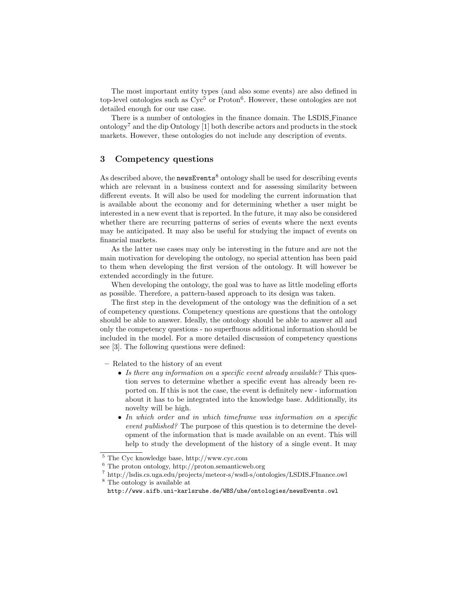The most important entity types (and also some events) are also defined in top-level ontologies such as  $Cyc<sup>5</sup>$  or Proton<sup>6</sup>. However, these ontologies are not detailed enough for our use case.

There is a number of ontologies in the finance domain. The LSDIS Finance ontology<sup>7</sup> and the dip Ontology [1] both describe actors and products in the stock markets. However, these ontologies do not include any description of events.

### 3 Competency questions

As described above, the newsEvents<sup>8</sup> ontology shall be used for describing events which are relevant in a business context and for assessing similarity between different events. It will also be used for modeling the current information that is available about the economy and for determining whether a user might be interested in a new event that is reported. In the future, it may also be considered whether there are recurring patterns of series of events where the next events may be anticipated. It may also be useful for studying the impact of events on financial markets.

As the latter use cases may only be interesting in the future and are not the main motivation for developing the ontology, no special attention has been paid to them when developing the first version of the ontology. It will however be extended accordingly in the future.

When developing the ontology, the goal was to have as little modeling efforts as possible. Therefore, a pattern-based approach to its design was taken.

The first step in the development of the ontology was the definition of a set of competency questions. Competency questions are questions that the ontology should be able to answer. Ideally, the ontology should be able to answer all and only the competency questions - no superfluous additional information should be included in the model. For a more detailed discussion of competency questions see [3]. The following questions were defined:

- Related to the history of an event
	- Is there any information on a specific event already available? This question serves to determine whether a specific event has already been reported on. If this is not the case, the event is definitely new - information about it has to be integrated into the knowledge base. Additionally, its novelty will be high.
	- In which order and in which timeframe was information on a specific event published? The purpose of this question is to determine the development of the information that is made available on an event. This will help to study the development of the history of a single event. It may

<sup>5</sup> The Cyc knowledge base, http://www.cyc.com

<sup>6</sup> The proton ontology, http://proton.semanticweb.org

<sup>7</sup> http://lsdis.cs.uga.edu/projects/meteor-s/wsdl-s/ontologies/LSDIS FInance.owl

<sup>8</sup> The ontology is available at

http://www.aifb.uni-karlsruhe.de/WBS/uhe/ontologies/newsEvents.owl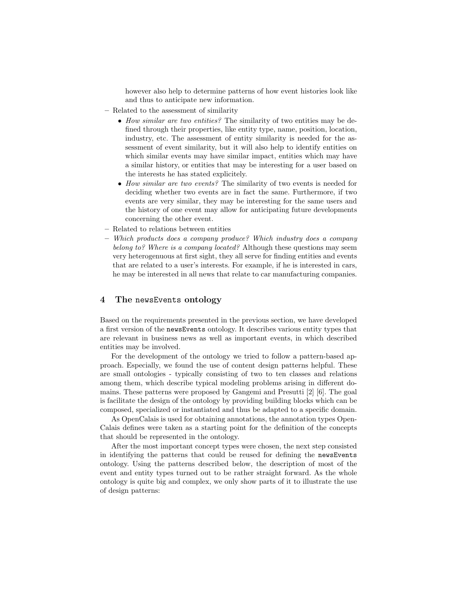however also help to determine patterns of how event histories look like and thus to anticipate new information.

- Related to the assessment of similarity
	- How similar are two entities? The similarity of two entities may be defined through their properties, like entity type, name, position, location, industry, etc. The assessment of entity similarity is needed for the assessment of event similarity, but it will also help to identify entities on which similar events may have similar impact, entities which may have a similar history, or entities that may be interesting for a user based on the interests he has stated explicitely.
	- How similar are two events? The similarity of two events is needed for deciding whether two events are in fact the same. Furthermore, if two events are very similar, they may be interesting for the same users and the history of one event may allow for anticipating future developments concerning the other event.
- Related to relations between entities
- Which products does a company produce? Which industry does a company belong to? Where is a company located? Although these questions may seem very heterogenuous at first sight, they all serve for finding entities and events that are related to a user's interests. For example, if he is interested in cars, he may be interested in all news that relate to car manufacturing companies.

#### 4 The newsEvents ontology

Based on the requirements presented in the previous section, we have developed a first version of the newsEvents ontology. It describes various entity types that are relevant in business news as well as important events, in which described entities may be involved.

For the development of the ontology we tried to follow a pattern-based approach. Especially, we found the use of content design patterns helpful. These are small ontologies - typically consisting of two to ten classes and relations among them, which describe typical modeling problems arising in different domains. These patterns were proposed by Gangemi and Presutti [2] [6]. The goal is facilitate the design of the ontology by providing building blocks which can be composed, specialized or instantiated and thus be adapted to a specific domain.

As OpenCalais is used for obtaining annotations, the annotation types Open-Calais defines were taken as a starting point for the definition of the concepts that should be represented in the ontology.

After the most important concept types were chosen, the next step consisted in identifying the patterns that could be reused for defining the newsEvents ontology. Using the patterns described below, the description of most of the event and entity types turned out to be rather straight forward. As the whole ontology is quite big and complex, we only show parts of it to illustrate the use of design patterns: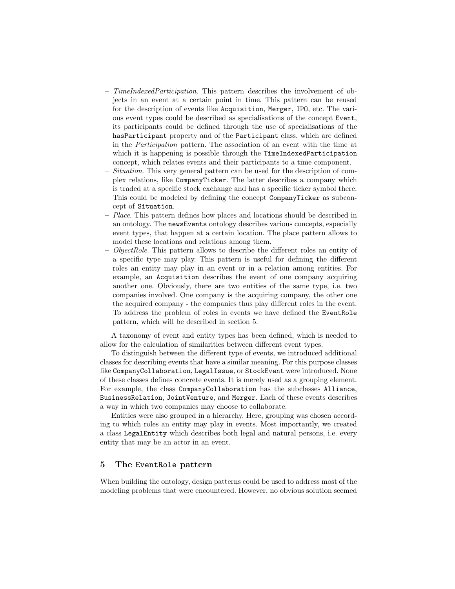- TimeIndexedParticipation. This pattern describes the involvement of objects in an event at a certain point in time. This pattern can be reused for the description of events like Acquisition, Merger, IPO, etc. The various event types could be described as specialisations of the concept Event, its participants could be defined through the use of specialisations of the hasParticipant property and of the Participant class, which are defined in the Participation pattern. The association of an event with the time at which it is happening is possible through the TimeIndexedParticipation concept, which relates events and their participants to a time component.
- Situation. This very general pattern can be used for the description of complex relations, like CompanyTicker. The latter describes a company which is traded at a specific stock exchange and has a specific ticker symbol there. This could be modeled by defining the concept CompanyTicker as subconcept of Situation.
- $-$  Place. This pattern defines how places and locations should be described in an ontology. The newsEvents ontology describes various concepts, especially event types, that happen at a certain location. The place pattern allows to model these locations and relations among them.
- ObjectRole. This pattern allows to describe the different roles an entity of a specific type may play. This pattern is useful for defining the different roles an entity may play in an event or in a relation among entities. For example, an Acquisition describes the event of one company acquiring another one. Obviously, there are two entities of the same type, i.e. two companies involved. One company is the acquiring company, the other one the acquired company - the companies thus play different roles in the event. To address the problem of roles in events we have defined the EventRole pattern, which will be described in section 5.

A taxonomy of event and entity types has been defined, which is needed to allow for the calculation of similarities between different event types.

To distinguish between the different type of events, we introduced additional classes for describing events that have a similar meaning. For this purpose classes like CompanyCollaboration, LegalIssue, or StockEvent were introduced. None of these classes defines concrete events. It is merely used as a grouping element. For example, the class CompanyCollaboration has the subclasses Alliance, BusinessRelation, JointVenture, and Merger. Each of these events describes a way in which two companies may choose to collaborate.

Entities were also grouped in a hierarchy. Here, grouping was chosen according to which roles an entity may play in events. Most importantly, we created a class LegalEntity which describes both legal and natural persons, i.e. every entity that may be an actor in an event.

#### 5 The EventRole pattern

When building the ontology, design patterns could be used to address most of the modeling problems that were encountered. However, no obvious solution seemed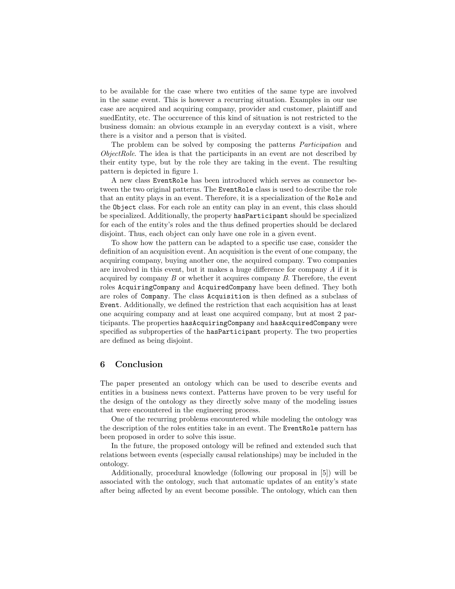to be available for the case where two entities of the same type are involved in the same event. This is however a recurring situation. Examples in our use case are acquired and acquiring company, provider and customer, plaintiff and suedEntity, etc. The occurrence of this kind of situation is not restricted to the business domain: an obvious example in an everyday context is a visit, where there is a visitor and a person that is visited.

The problem can be solved by composing the patterns *Participation* and ObjectRole. The idea is that the participants in an event are not described by their entity type, but by the role they are taking in the event. The resulting pattern is depicted in figure 1.

A new class EventRole has been introduced which serves as connector between the two original patterns. The EventRole class is used to describe the role that an entity plays in an event. Therefore, it is a specialization of the Role and the Object class. For each role an entity can play in an event, this class should be specialized. Additionally, the property hasParticipant should be specialized for each of the entity's roles and the thus defined properties should be declared disjoint. Thus, each object can only have one role in a given event.

To show how the pattern can be adapted to a specific use case, consider the definition of an acquisition event. An acquisition is the event of one company, the acquiring company, buying another one, the acquired company. Two companies are involved in this event, but it makes a huge difference for company A if it is acquired by company  $B$  or whether it acquires company  $B$ . Therefore, the event roles AcquiringCompany and AcquiredCompany have been defined. They both are roles of Company. The class Acquisition is then defined as a subclass of Event. Additionally, we defined the restriction that each acquisition has at least one acquiring company and at least one acquired company, but at most 2 participants. The properties hasAcquiringCompany and hasAcquiredCompany were specified as subproperties of the hasParticipant property. The two properties are defined as being disjoint.

#### 6 Conclusion

The paper presented an ontology which can be used to describe events and entities in a business news context. Patterns have proven to be very useful for the design of the ontology as they directly solve many of the modeling issues that were encountered in the engineering process.

One of the recurring problems encountered while modeling the ontology was the description of the roles entities take in an event. The EventRole pattern has been proposed in order to solve this issue.

In the future, the proposed ontology will be refined and extended such that relations between events (especially causal relationships) may be included in the ontology.

Additionally, procedural knowledge (following our proposal in [5]) will be associated with the ontology, such that automatic updates of an entity's state after being affected by an event become possible. The ontology, which can then